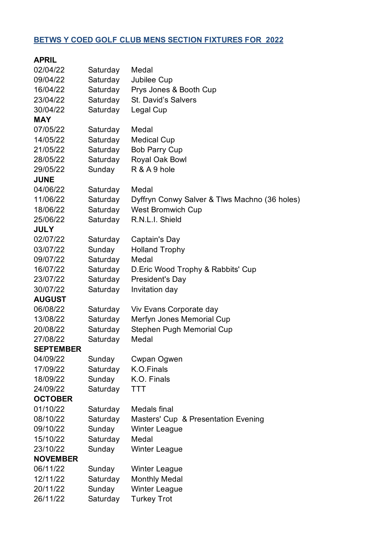## **BETWS Y COED GOLF CLUB MENS SECTION FIXTURES FOR 2022**

| 02/04/22         | Saturday | Medal                                         |
|------------------|----------|-----------------------------------------------|
| 09/04/22         | Saturday | Jubilee Cup                                   |
| 16/04/22         | Saturday | Prys Jones & Booth Cup                        |
| 23/04/22         | Saturday | St. David's Salvers                           |
| 30/04/22         | Saturday | Legal Cup                                     |
| <b>MAY</b>       |          |                                               |
| 07/05/22         | Saturday | Medal                                         |
| 14/05/22         | Saturday | <b>Medical Cup</b>                            |
| 21/05/22         | Saturday | <b>Bob Parry Cup</b>                          |
| 28/05/22         | Saturday | Royal Oak Bowl                                |
| 29/05/22         | Sunday   | R & A 9 hole                                  |
| <b>JUNE</b>      |          |                                               |
| 04/06/22         | Saturday | Medal                                         |
| 11/06/22         | Saturday | Dyffryn Conwy Salver & Tlws Machno (36 holes) |
| 18/06/22         | Saturday | <b>West Bromwich Cup</b>                      |
| 25/06/22         | Saturday | R.N.L.I. Shield                               |
| <b>JULY</b>      |          |                                               |
| 02/07/22         | Saturday | Captain's Day                                 |
| 03/07/22         | Sunday   | <b>Holland Trophy</b>                         |
| 09/07/22         | Saturday | Medal                                         |
| 16/07/22         | Saturday | D. Eric Wood Trophy & Rabbits' Cup            |
| 23/07/22         | Saturday | President's Day                               |
| 30/07/22         | Saturday | Invitation day                                |
| <b>AUGUST</b>    |          |                                               |
| 06/08/22         | Saturday | Viv Evans Corporate day                       |
| 13/08/22         | Saturday | Merfyn Jones Memorial Cup                     |
| 20/08/22         | Saturday | <b>Stephen Pugh Memorial Cup</b>              |
| 27/08/22         | Saturday | Medal                                         |
| <b>SEPTEMBER</b> |          |                                               |
| 04/09/22         | Sunday   | Cwpan Ogwen                                   |
| 17/09/22         | Saturday | K.O.Finals                                    |
| 18/09/22         | Sunday   | K.O. Finals                                   |
| 24/09/22         | Saturday | <b>TTT</b>                                    |
| <b>OCTOBER</b>   |          |                                               |
| 01/10/22         | Saturday | Medals final                                  |
| 08/10/22         | Saturday | Masters' Cup & Presentation Evening           |
| 09/10/22         | Sunday   | <b>Winter League</b>                          |
| 15/10/22         | Saturday | Medal                                         |
| 23/10/22         | Sunday   | <b>Winter League</b>                          |
| <b>NOVEMBER</b>  |          |                                               |
| 06/11/22         | Sunday   | <b>Winter League</b>                          |
| 12/11/22         | Saturday | <b>Monthly Medal</b>                          |
| 20/11/22         | Sunday   | <b>Winter League</b>                          |
| 26/11/22         | Saturday | <b>Turkey Trot</b>                            |